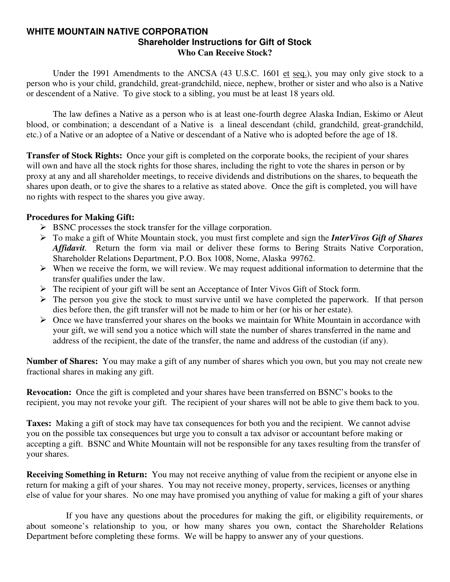#### **WHITE MOUNTAIN NATIVE CORPORATION Shareholder Instructions for Gift of Stock Who Can Receive Stock?**

Under the 1991 Amendments to the ANCSA (43 U.S.C. 1601 et seq.), you may only give stock to a person who is your child, grandchild, great-grandchild, niece, nephew, brother or sister and who also is a Native or descendent of a Native. To give stock to a sibling, you must be at least 18 years old.

 The law defines a Native as a person who is at least one-fourth degree Alaska Indian, Eskimo or Aleut blood, or combination; a descendant of a Native is a lineal descendant (child, grandchild, great-grandchild, etc.) of a Native or an adoptee of a Native or descendant of a Native who is adopted before the age of 18.

**Transfer of Stock Rights:** Once your gift is completed on the corporate books, the recipient of your shares will own and have all the stock rights for those shares, including the right to vote the shares in person or by proxy at any and all shareholder meetings, to receive dividends and distributions on the shares, to bequeath the shares upon death, or to give the shares to a relative as stated above. Once the gift is completed, you will have no rights with respect to the shares you give away.

### **Procedures for Making Gift:**

- $\triangleright$  BSNC processes the stock transfer for the village corporation.
- ¾ To make a gift of White Mountain stock, you must first complete and sign the *InterVivos Gift of Shares Affidavit.* Return the form via mail or deliver these forms to Bering Straits Native Corporation, Shareholder Relations Department, P.O. Box 1008, Nome, Alaska 99762.
- $\triangleright$  When we receive the form, we will review. We may request additional information to determine that the transfer qualifies under the law.
- ¾ The recipient of your gift will be sent an Acceptance of Inter Vivos Gift of Stock form.
- $\triangleright$  The person you give the stock to must survive until we have completed the paperwork. If that person dies before then, the gift transfer will not be made to him or her (or his or her estate).
- $\triangleright$  Once we have transferred your shares on the books we maintain for White Mountain in accordance with your gift, we will send you a notice which will state the number of shares transferred in the name and address of the recipient, the date of the transfer, the name and address of the custodian (if any).

**Number of Shares:** You may make a gift of any number of shares which you own, but you may not create new fractional shares in making any gift.

**Revocation:** Once the gift is completed and your shares have been transferred on BSNC's books to the recipient, you may not revoke your gift. The recipient of your shares will not be able to give them back to you.

**Taxes:** Making a gift of stock may have tax consequences for both you and the recipient. We cannot advise you on the possible tax consequences but urge you to consult a tax advisor or accountant before making or accepting a gift. BSNC and White Mountain will not be responsible for any taxes resulting from the transfer of your shares.

**Receiving Something in Return:** You may not receive anything of value from the recipient or anyone else in return for making a gift of your shares. You may not receive money, property, services, licenses or anything else of value for your shares. No one may have promised you anything of value for making a gift of your shares

 If you have any questions about the procedures for making the gift, or eligibility requirements, or about someone's relationship to you, or how many shares you own, contact the Shareholder Relations Department before completing these forms. We will be happy to answer any of your questions.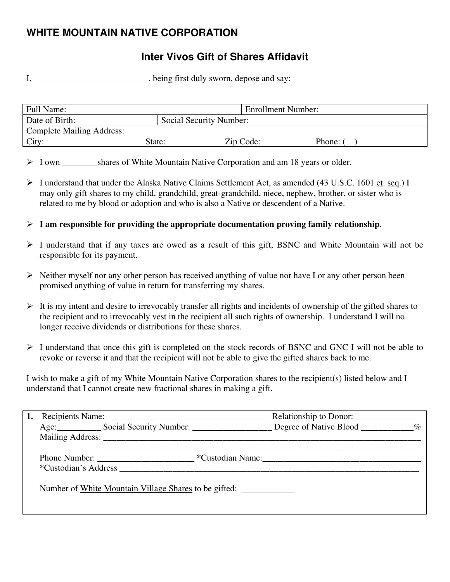# **WHITE MOUNTAIN NATIVE CORPORATION**

## **Inter Vivos Gift of Shares Affidavit**

I, \_\_\_\_\_\_\_\_\_\_\_\_\_\_\_\_\_\_\_\_\_\_, being first duly sworn, depose and say:

| Full Name:                       |                         | Enrollment Number: |        |
|----------------------------------|-------------------------|--------------------|--------|
| Date of Birth:                   | Social Security Number: |                    |        |
| <b>Complete Mailing Address:</b> |                         |                    |        |
| City:                            | State:                  | Zip Code:          | Phone: |

▶ I own shares of White Mountain Native Corporation and am 18 years or older.

- ¾ I understand that under the Alaska Native Claims Settlement Act, as amended (43 U.S.C. 1601 et. seq.) I may only gift shares to my child, grandchild, great-grandchild, niece, nephew, brother, or sister who is related to me by blood or adoption and who is also a Native or descendent of a Native.
- $\triangleright$  **I** am responsible for providing the appropriate documentation proving family relationship.
- $\triangleright$  I understand that if any taxes are owed as a result of this gift, BSNC and White Mountain will not be responsible for its payment.
- $\triangleright$  Neither myself nor any other person has received anything of value nor have I or any other person been promised anything of value in return for transferring my shares.
- $\triangleright$  It is my intent and desire to irrevocably transfer all rights and incidents of ownership of the gifted shares to the recipient and to irrevocably vest in the recipient all such rights of ownership. I understand I will no longer receive dividends or distributions for these shares.
- ¾ I understand that once this gift is completed on the stock records of BSNC and GNC I will not be able to revoke or reverse it and that the recipient will not be able to give the gifted shares back to me.

I wish to make a gift of my White Mountain Native Corporation shares to the recipient(s) listed below and I understand that I cannot create new fractional shares in making a gift.

|  |                                                                | Relationship to Donor: |  |
|--|----------------------------------------------------------------|------------------------|--|
|  | Age: Social Security Number: Degree of Native Blood ________ % |                        |  |
|  |                                                                |                        |  |
|  |                                                                | *Custodian Name:       |  |
|  | *Custodian's Address <b>Example 20</b>                         |                        |  |
|  | Number of White Mountain Village Shares to be gifted:          |                        |  |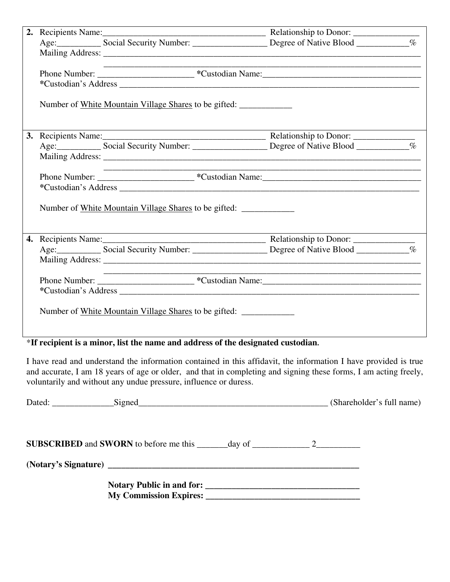|  |                                                       | Age: Social Security Number: Degree of Native Blood _____________________________ | $\%$ |
|--|-------------------------------------------------------|-----------------------------------------------------------------------------------|------|
|  |                                                       |                                                                                   |      |
|  |                                                       |                                                                                   |      |
|  |                                                       |                                                                                   |      |
|  |                                                       |                                                                                   |      |
|  | Number of White Mountain Village Shares to be gifted: |                                                                                   |      |
|  |                                                       |                                                                                   |      |
|  |                                                       |                                                                                   |      |
|  |                                                       |                                                                                   |      |
|  |                                                       |                                                                                   |      |
|  |                                                       |                                                                                   |      |
|  |                                                       |                                                                                   |      |
|  | Number of White Mountain Village Shares to be gifted: |                                                                                   |      |
|  |                                                       |                                                                                   |      |
|  |                                                       |                                                                                   |      |
|  |                                                       |                                                                                   |      |
|  |                                                       |                                                                                   |      |
|  |                                                       |                                                                                   |      |
|  |                                                       |                                                                                   |      |
|  | Number of White Mountain Village Shares to be gifted: |                                                                                   |      |

\***If recipient is a minor, list the name and address of the designated custodian.** 

I have read and understand the information contained in this affidavit, the information I have provided is true and accurate, I am 18 years of age or older, and that in completing and signing these forms, I am acting freely, voluntarily and without any undue pressure, influence or duress.

| Dated: Signed Signed Signed Signed Signed Signed Signed Signed Signed Signed Signed Signed Signed Signed Signed Signed Signed Signed Signed Signed Signed Signed Signed Signed Signed Signed Signed Signed Signed Signed Signe |  |  |
|--------------------------------------------------------------------------------------------------------------------------------------------------------------------------------------------------------------------------------|--|--|
| <b>SUBSCRIBED</b> and <b>SWORN</b> to before me this $\_\_\_\_\_day$ of $\_\_\_\_\_\_2$                                                                                                                                        |  |  |
|                                                                                                                                                                                                                                |  |  |
| My Commission Expires: 2008. The Commission Expires:                                                                                                                                                                           |  |  |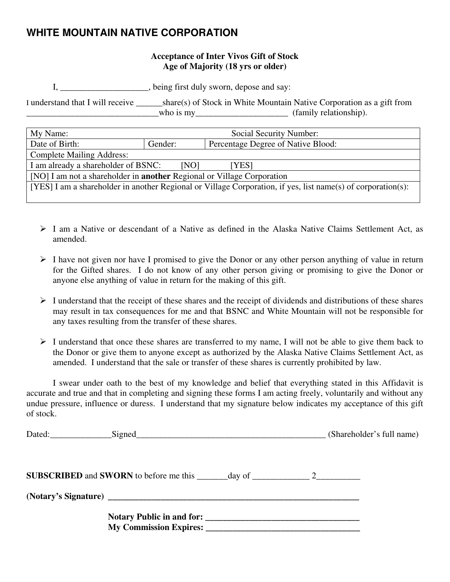## **WHITE MOUNTAIN NATIVE CORPORATION**

### **Acceptance of Inter Vivos Gift of Stock Age of Majority (18 yrs or older)**

I, \_\_\_\_\_\_\_\_\_\_\_\_\_\_\_\_\_\_\_\_, being first duly sworn, depose and say:

I understand that I will receive \_\_\_\_\_\_share(s) of Stock in White Mountain Native Corporation as a gift from  $\blacksquare$  who is my $\blacksquare$  (family relationship).

| My Name:                                                                                                     | Social Security Number: |                                    |  |
|--------------------------------------------------------------------------------------------------------------|-------------------------|------------------------------------|--|
| Date of Birth:                                                                                               | Gender:                 | Percentage Degree of Native Blood: |  |
| <b>Complete Mailing Address:</b>                                                                             |                         |                                    |  |
| I am already a shareholder of BSNC:<br>[NO]<br>[YES]                                                         |                         |                                    |  |
| [NO] I am not a shareholder in <b>another</b> Regional or Village Corporation                                |                         |                                    |  |
| [YES] I am a shareholder in another Regional or Village Corporation, if yes, list name(s) of corporation(s): |                         |                                    |  |
|                                                                                                              |                         |                                    |  |

- $\triangleright$  I am a Native or descendant of a Native as defined in the Alaska Native Claims Settlement Act, as amended.
- $\triangleright$  I have not given nor have I promised to give the Donor or any other person anything of value in return for the Gifted shares. I do not know of any other person giving or promising to give the Donor or anyone else anything of value in return for the making of this gift.
- $\triangleright$  I understand that the receipt of these shares and the receipt of dividends and distributions of these shares may result in tax consequences for me and that BSNC and White Mountain will not be responsible for any taxes resulting from the transfer of these shares.
- $\triangleright$  I understand that once these shares are transferred to my name, I will not be able to give them back to the Donor or give them to anyone except as authorized by the Alaska Native Claims Settlement Act, as amended. I understand that the sale or transfer of these shares is currently prohibited by law.

 I swear under oath to the best of my knowledge and belief that everything stated in this Affidavit is accurate and true and that in completing and signing these forms I am acting freely, voluntarily and without any undue pressure, influence or duress. I understand that my signature below indicates my acceptance of this gift of stock.

|  | (Shareholder's full name) |
|--|---------------------------|
|  |                           |
|  |                           |
|  |                           |